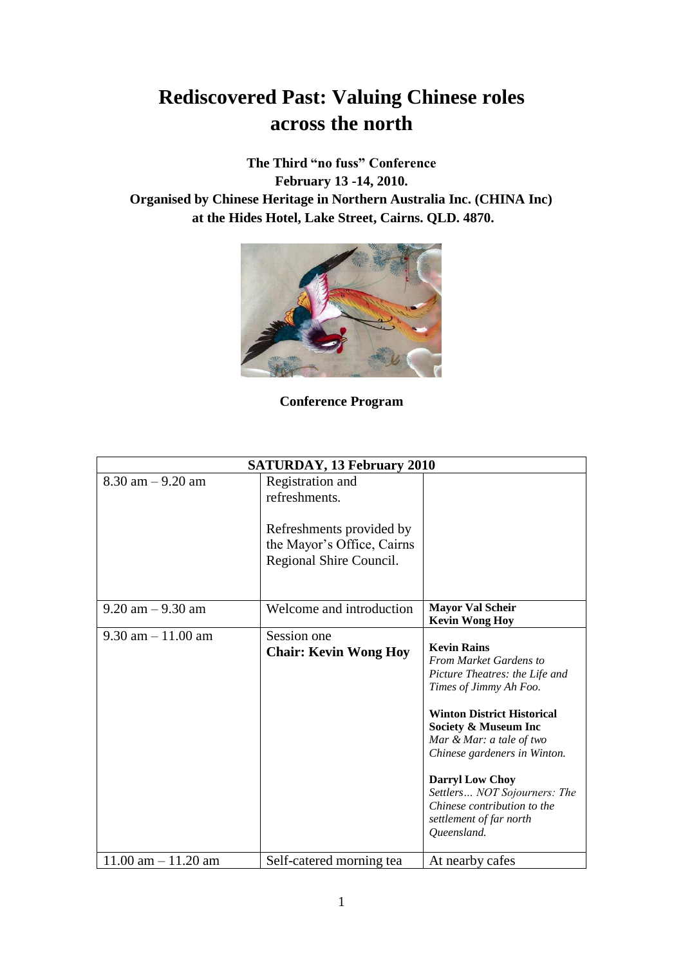# **Rediscovered Past: Valuing Chinese roles across the north**

**The Third "no fuss" Conference February 13 -14, 2010. Organised by Chinese Heritage in Northern Australia Inc. (CHINA Inc) at the Hides Hotel, Lake Street, Cairns. QLD. 4870.**



**Conference Program**

| <b>SATURDAY, 13 February 2010</b> |                                                                                   |                                                                                                                                                                                                                                                                                                                                                                             |  |  |
|-----------------------------------|-----------------------------------------------------------------------------------|-----------------------------------------------------------------------------------------------------------------------------------------------------------------------------------------------------------------------------------------------------------------------------------------------------------------------------------------------------------------------------|--|--|
| $8.30$ am $-9.20$ am              | Registration and<br>refreshments.                                                 |                                                                                                                                                                                                                                                                                                                                                                             |  |  |
|                                   | Refreshments provided by<br>the Mayor's Office, Cairns<br>Regional Shire Council. |                                                                                                                                                                                                                                                                                                                                                                             |  |  |
| $9.20$ am $-9.30$ am              | Welcome and introduction                                                          | <b>Mayor Val Scheir</b><br><b>Kevin Wong Hoy</b>                                                                                                                                                                                                                                                                                                                            |  |  |
| $9.30$ am $-11.00$ am             | Session one<br><b>Chair: Kevin Wong Hoy</b>                                       | <b>Kevin Rains</b><br><b>From Market Gardens to</b><br>Picture Theatres: the Life and<br>Times of Jimmy Ah Foo.<br><b>Winton District Historical</b><br>Society & Museum Inc<br>Mar & Mar: a tale of two<br>Chinese gardeners in Winton.<br><b>Darryl Low Choy</b><br>Settlers NOT Sojourners: The<br>Chinese contribution to the<br>settlement of far north<br>Queensland. |  |  |
| $11.00$ am $- 11.20$ am           | Self-catered morning tea                                                          | At nearby cafes                                                                                                                                                                                                                                                                                                                                                             |  |  |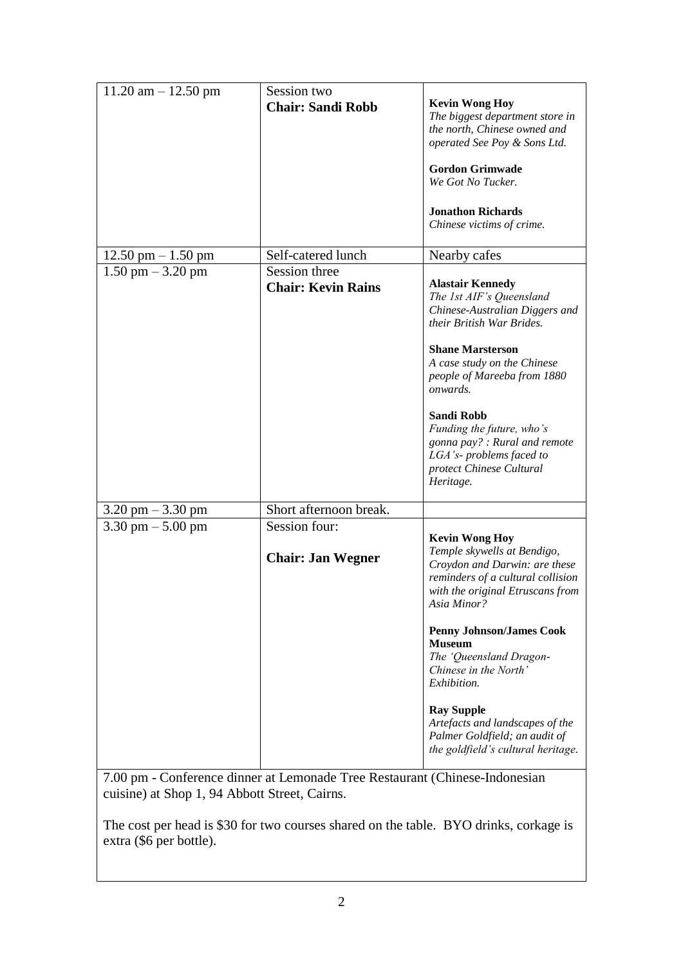| $11.20$ am $- 12.50$ pm             | Session two                                |                                                                                                                                                                               |
|-------------------------------------|--------------------------------------------|-------------------------------------------------------------------------------------------------------------------------------------------------------------------------------|
|                                     | <b>Chair: Sandi Robb</b>                   | <b>Kevin Wong Hoy</b><br>The biggest department store in                                                                                                                      |
|                                     |                                            | the north, Chinese owned and                                                                                                                                                  |
|                                     |                                            | operated See Poy & Sons Ltd.                                                                                                                                                  |
|                                     |                                            | <b>Gordon Grimwade</b><br>We Got No Tucker.                                                                                                                                   |
|                                     |                                            | <b>Jonathon Richards</b><br>Chinese victims of crime.                                                                                                                         |
| $12.50$ pm $- 1.50$ pm              | Self-catered lunch                         | Nearby cafes                                                                                                                                                                  |
| $1.50$ pm $-3.20$ pm                | Session three<br><b>Chair: Kevin Rains</b> | <b>Alastair Kennedy</b><br>The 1st AIF's Queensland<br>Chinese-Australian Diggers and<br>their British War Brides.                                                            |
|                                     |                                            | <b>Shane Marsterson</b><br>A case study on the Chinese<br>people of Mareeba from 1880<br>onwards.                                                                             |
|                                     |                                            | <b>Sandi Robb</b><br>Funding the future, who's<br>gonna pay? : Rural and remote<br>LGA's-problems faced to<br>protect Chinese Cultural<br>Heritage.                           |
| $3.20 \text{ pm} - 3.30 \text{ pm}$ | Short afternoon break.                     |                                                                                                                                                                               |
| 3.30 pm $-$ 5.00 pm                 | Session four:<br><b>Chair: Jan Wegner</b>  | <b>Kevin Wong Hoy</b><br>Temple skywells at Bendigo,<br>Croydon and Darwin: are these<br>reminders of a cultural collision<br>with the original Etruscans from<br>Asia Minor? |
|                                     |                                            | <b>Penny Johnson/James Cook</b><br><b>Museum</b><br>The 'Queensland Dragon-<br>Chinese in the North'<br>Exhibition.                                                           |
|                                     |                                            | <b>Ray Supple</b><br>Artefacts and landscapes of the<br>Palmer Goldfield; an audit of<br>the goldfield's cultural heritage.                                                   |

7.00 pm - Conference dinner at Lemonade Tree Restaurant (Chinese-Indonesian cuisine) at Shop 1, 94 Abbott Street, Cairns.

The cost per head is \$30 for two courses shared on the table. BYO drinks, corkage is extra (\$6 per bottle).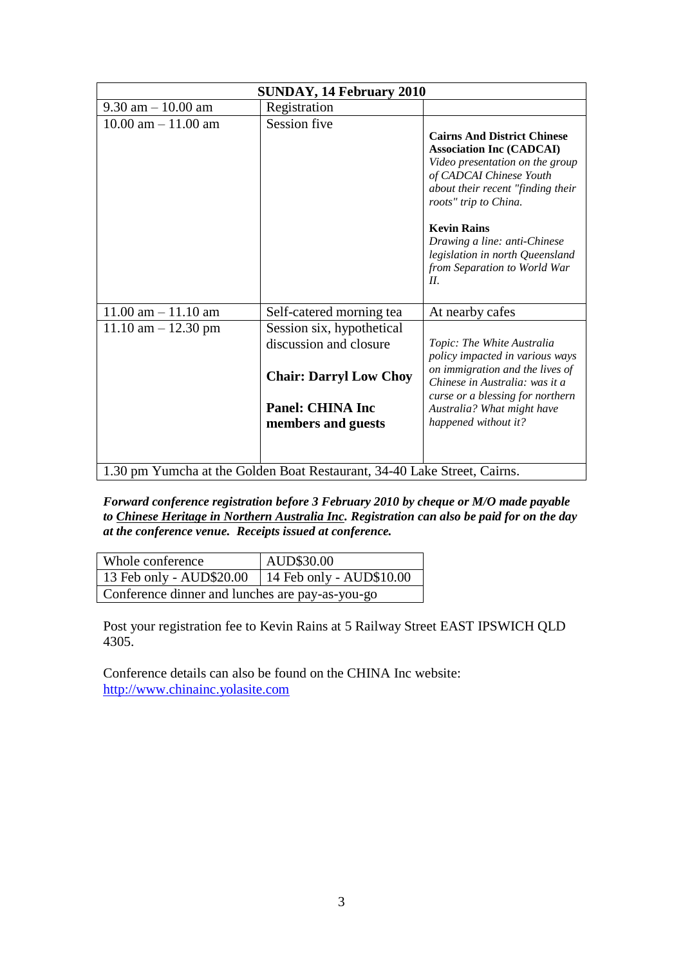| <b>SUNDAY, 14 February 2010</b>                                          |                                                                                                                                       |                                                                                                                                                                                                                                                                                                                                   |
|--------------------------------------------------------------------------|---------------------------------------------------------------------------------------------------------------------------------------|-----------------------------------------------------------------------------------------------------------------------------------------------------------------------------------------------------------------------------------------------------------------------------------------------------------------------------------|
| $9.30$ am $-10.00$ am                                                    | Registration                                                                                                                          |                                                                                                                                                                                                                                                                                                                                   |
| $10.00$ am $- 11.00$ am                                                  | Session five                                                                                                                          | <b>Cairns And District Chinese</b><br><b>Association Inc (CADCAI)</b><br>Video presentation on the group<br>of CADCAI Chinese Youth<br>about their recent "finding their<br>roots" trip to China.<br><b>Kevin Rains</b><br>Drawing a line: anti-Chinese<br>legislation in north Queensland<br>from Separation to World War<br>II. |
| $11.00$ am $- 11.10$ am                                                  | Self-catered morning tea                                                                                                              | At nearby cafes                                                                                                                                                                                                                                                                                                                   |
| $11.10$ am $- 12.30$ pm                                                  | Session six, hypothetical<br>discussion and closure<br><b>Chair: Darryl Low Choy</b><br><b>Panel: CHINA Inc</b><br>members and guests | Topic: The White Australia<br>policy impacted in various ways<br>on immigration and the lives of<br>Chinese in Australia: was it a<br>curse or a blessing for northern<br>Australia? What might have<br>happened without it?                                                                                                      |
| 1.30 pm Yumcha at the Golden Boat Restaurant, 34-40 Lake Street, Cairns. |                                                                                                                                       |                                                                                                                                                                                                                                                                                                                                   |

*Forward conference registration before 3 February 2010 by cheque or M/O made payable to Chinese Heritage in Northern Australia Inc. Registration can also be paid for on the day at the conference venue. Receipts issued at conference.*

| Whole conference                                    | AUD\$30.00 |  |
|-----------------------------------------------------|------------|--|
| 13 Feb only - AUD\$20.00   14 Feb only - AUD\$10.00 |            |  |
| Conference dinner and lunches are pay-as-you-go     |            |  |

Post your registration fee to Kevin Rains at 5 Railway Street EAST IPSWICH QLD 4305.

Conference details can also be found on the CHINA Inc website: [http://www.chinainc.yolasite.com](http://www.chinainc.yolasite.com/)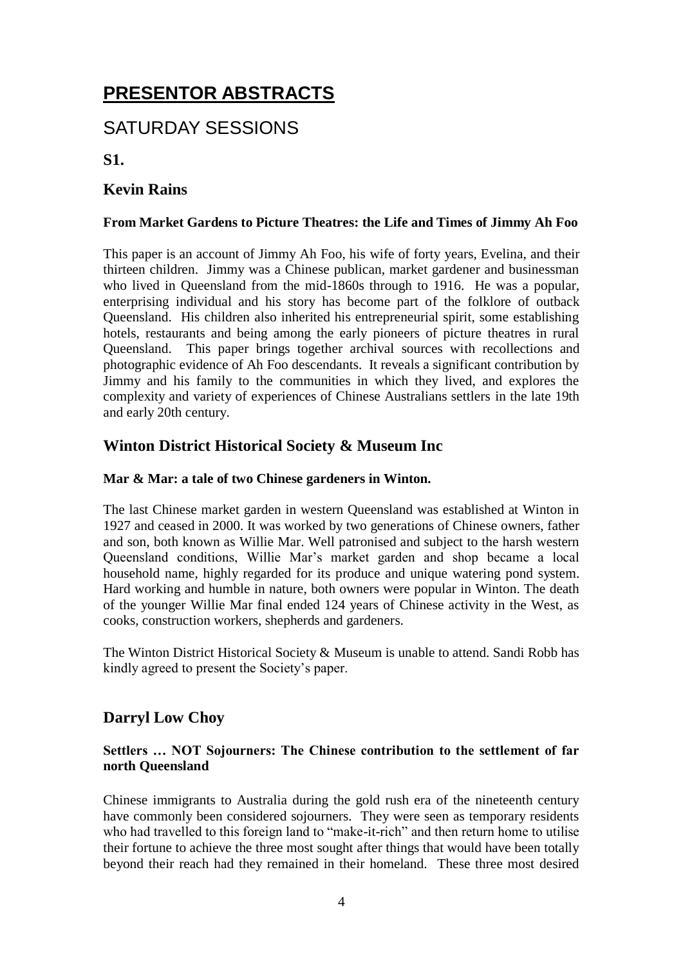# **PRESENTOR ABSTRACTS**

# SATURDAY SESSIONS

**S1.**

# **Kevin Rains**

#### **From Market Gardens to Picture Theatres: the Life and Times of Jimmy Ah Foo**

This paper is an account of Jimmy Ah Foo, his wife of forty years, Evelina, and their thirteen children. Jimmy was a Chinese publican, market gardener and businessman who lived in Queensland from the mid-1860s through to 1916. He was a popular, enterprising individual and his story has become part of the folklore of outback Queensland. His children also inherited his entrepreneurial spirit, some establishing hotels, restaurants and being among the early pioneers of picture theatres in rural Queensland. This paper brings together archival sources with recollections and photographic evidence of Ah Foo descendants. It reveals a significant contribution by Jimmy and his family to the communities in which they lived, and explores the complexity and variety of experiences of Chinese Australians settlers in the late 19th and early 20th century.

# **Winton District Historical Society & Museum Inc**

#### **Mar & Mar: a tale of two Chinese gardeners in Winton.**

The last Chinese market garden in western Queensland was established at Winton in 1927 and ceased in 2000. It was worked by two generations of Chinese owners, father and son, both known as Willie Mar. Well patronised and subject to the harsh western Queensland conditions, Willie Mar's market garden and shop became a local household name, highly regarded for its produce and unique watering pond system. Hard working and humble in nature, both owners were popular in Winton. The death of the younger Willie Mar final ended 124 years of Chinese activity in the West, as cooks, construction workers, shepherds and gardeners.

The Winton District Historical Society & Museum is unable to attend. Sandi Robb has kindly agreed to present the Society's paper.

# **Darryl Low Choy**

#### **Settlers … NOT Sojourners: The Chinese contribution to the settlement of far north Queensland**

Chinese immigrants to Australia during the gold rush era of the nineteenth century have commonly been considered sojourners. They were seen as temporary residents who had travelled to this foreign land to "make-it-rich" and then return home to utilise their fortune to achieve the three most sought after things that would have been totally beyond their reach had they remained in their homeland. These three most desired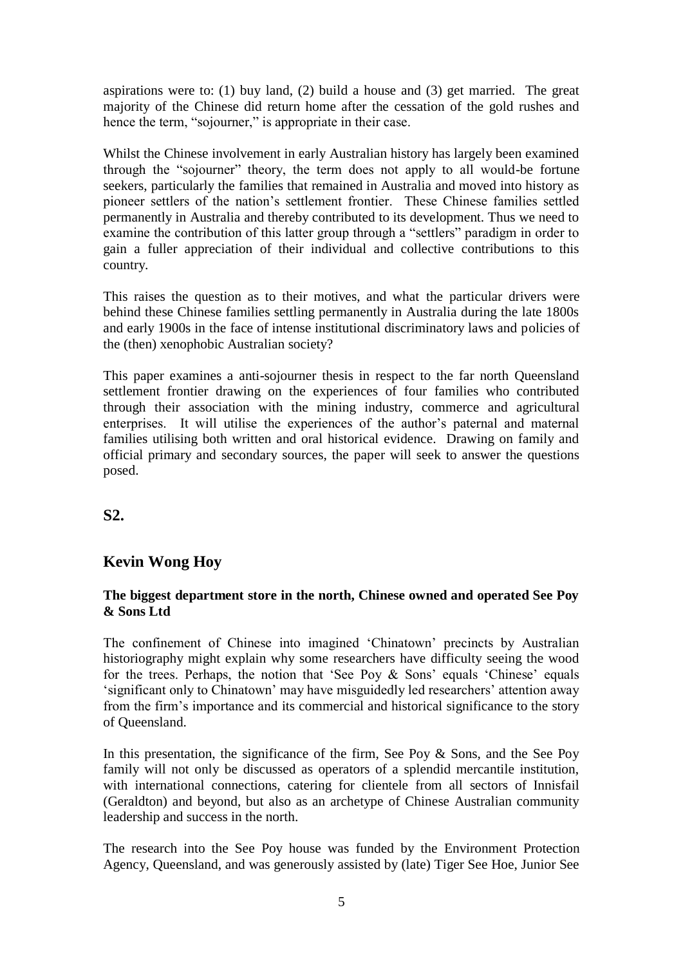aspirations were to: (1) buy land, (2) build a house and (3) get married. The great majority of the Chinese did return home after the cessation of the gold rushes and hence the term, "sojourner," is appropriate in their case.

Whilst the Chinese involvement in early Australian history has largely been examined through the "sojourner" theory, the term does not apply to all would-be fortune seekers, particularly the families that remained in Australia and moved into history as pioneer settlers of the nation's settlement frontier. These Chinese families settled permanently in Australia and thereby contributed to its development. Thus we need to examine the contribution of this latter group through a "settlers" paradigm in order to gain a fuller appreciation of their individual and collective contributions to this country.

This raises the question as to their motives, and what the particular drivers were behind these Chinese families settling permanently in Australia during the late 1800s and early 1900s in the face of intense institutional discriminatory laws and policies of the (then) xenophobic Australian society?

This paper examines a anti-sojourner thesis in respect to the far north Queensland settlement frontier drawing on the experiences of four families who contributed through their association with the mining industry, commerce and agricultural enterprises. It will utilise the experiences of the author's paternal and maternal families utilising both written and oral historical evidence. Drawing on family and official primary and secondary sources, the paper will seek to answer the questions posed.

## **S2.**

## **Kevin Wong Hoy**

#### **The biggest department store in the north, Chinese owned and operated See Poy & Sons Ltd**

The confinement of Chinese into imagined 'Chinatown' precincts by Australian historiography might explain why some researchers have difficulty seeing the wood for the trees. Perhaps, the notion that 'See Poy  $\&$  Sons' equals 'Chinese' equals 'significant only to Chinatown' may have misguidedly led researchers' attention away from the firm's importance and its commercial and historical significance to the story of Queensland.

In this presentation, the significance of the firm, See Poy & Sons, and the See Poy family will not only be discussed as operators of a splendid mercantile institution, with international connections, catering for clientele from all sectors of Innisfail (Geraldton) and beyond, but also as an archetype of Chinese Australian community leadership and success in the north.

The research into the See Poy house was funded by the Environment Protection Agency, Queensland, and was generously assisted by (late) Tiger See Hoe, Junior See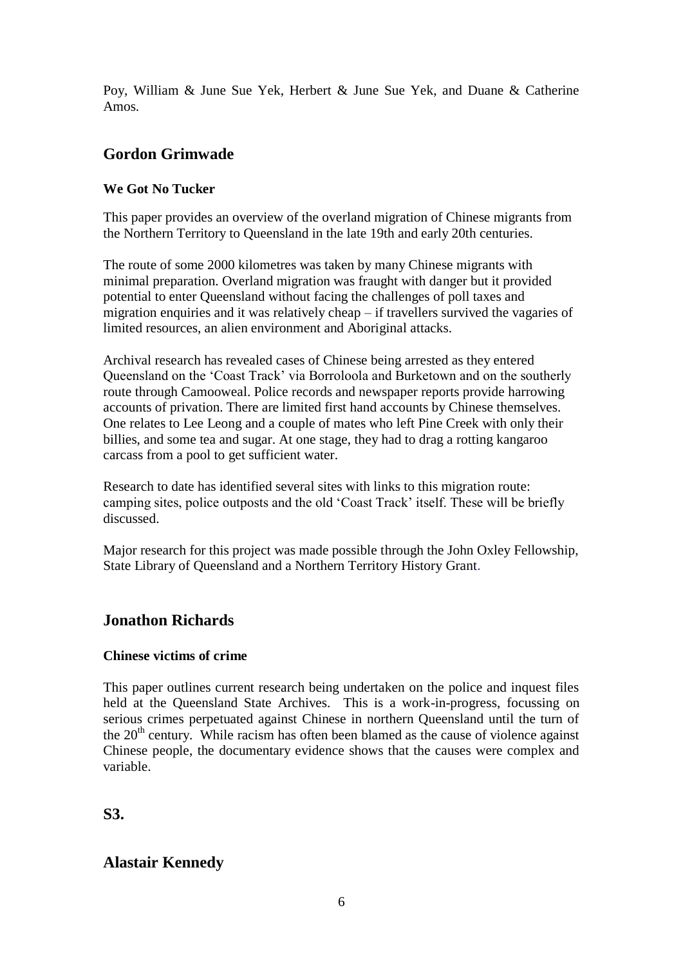Poy, William & June Sue Yek, Herbert & June Sue Yek, and Duane & Catherine Amos.

# **Gordon Grimwade**

### **We Got No Tucker**

This paper provides an overview of the overland migration of Chinese migrants from the Northern Territory to Queensland in the late 19th and early 20th centuries.

The route of some 2000 kilometres was taken by many Chinese migrants with minimal preparation. Overland migration was fraught with danger but it provided potential to enter Queensland without facing the challenges of poll taxes and migration enquiries and it was relatively cheap – if travellers survived the vagaries of limited resources, an alien environment and Aboriginal attacks.

Archival research has revealed cases of Chinese being arrested as they entered Queensland on the 'Coast Track' via Borroloola and Burketown and on the southerly route through Camooweal. Police records and newspaper reports provide harrowing accounts of privation. There are limited first hand accounts by Chinese themselves. One relates to Lee Leong and a couple of mates who left Pine Creek with only their billies, and some tea and sugar. At one stage, they had to drag a rotting kangaroo carcass from a pool to get sufficient water.

Research to date has identified several sites with links to this migration route: camping sites, police outposts and the old 'Coast Track' itself. These will be briefly discussed.

Major research for this project was made possible through the John Oxley Fellowship, State Library of Queensland and a Northern Territory History Grant*.*

# **Jonathon Richards**

#### **Chinese victims of crime**

This paper outlines current research being undertaken on the police and inquest files held at the Queensland State Archives. This is a work-in-progress, focussing on serious crimes perpetuated against Chinese in northern Queensland until the turn of the  $20<sup>th</sup>$  century. While racism has often been blamed as the cause of violence against Chinese people, the documentary evidence shows that the causes were complex and variable.

**S3.**

# **Alastair Kennedy**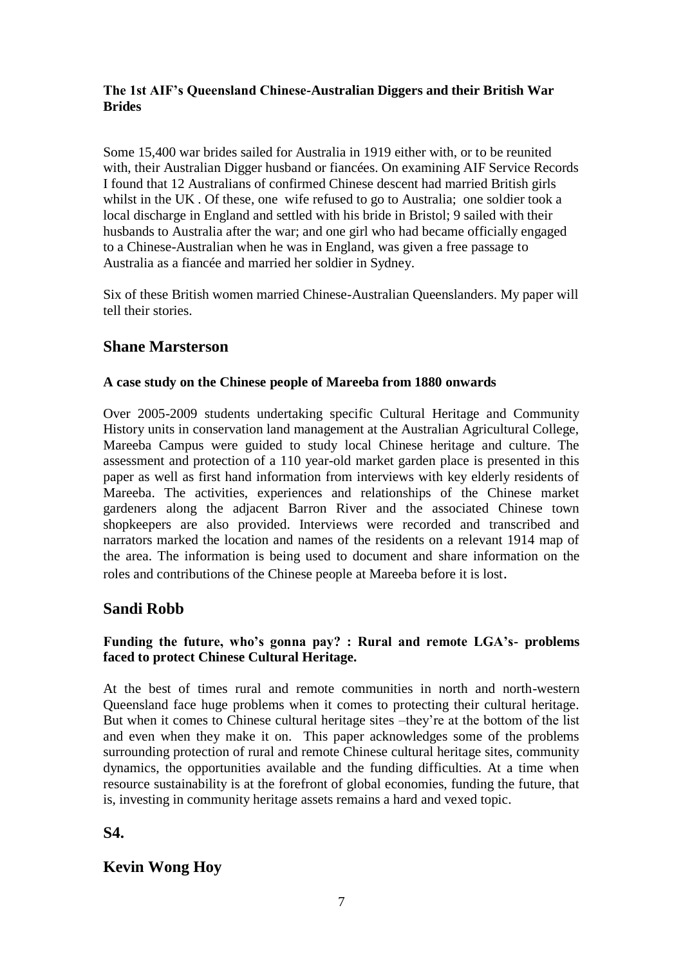#### **The 1st AIF's Queensland Chinese-Australian Diggers and their British War Brides**

Some 15,400 war brides sailed for Australia in 1919 either with, or to be reunited with, their Australian Digger husband or fiancées. On examining AIF Service Records I found that 12 Australians of confirmed Chinese descent had married British girls whilst in the UK . Of these, one wife refused to go to Australia; one soldier took a local discharge in England and settled with his bride in Bristol; 9 sailed with their husbands to Australia after the war; and one girl who had became officially engaged to a Chinese-Australian when he was in England, was given a free passage to Australia as a fiancée and married her soldier in Sydney.

Six of these British women married Chinese-Australian Queenslanders. My paper will tell their stories.

## **Shane Marsterson**

#### **A case study on the Chinese people of Mareeba from 1880 onwards**

Over 2005-2009 students undertaking specific Cultural Heritage and Community History units in conservation land management at the Australian Agricultural College, Mareeba Campus were guided to study local Chinese heritage and culture. The assessment and protection of a 110 year-old market garden place is presented in this paper as well as first hand information from interviews with key elderly residents of Mareeba. The activities, experiences and relationships of the Chinese market gardeners along the adjacent Barron River and the associated Chinese town shopkeepers are also provided. Interviews were recorded and transcribed and narrators marked the location and names of the residents on a relevant 1914 map of the area. The information is being used to document and share information on the roles and contributions of the Chinese people at Mareeba before it is lost.

## **Sandi Robb**

#### **Funding the future, who's gonna pay? : Rural and remote LGA's- problems faced to protect Chinese Cultural Heritage.**

At the best of times rural and remote communities in north and north-western Queensland face huge problems when it comes to protecting their cultural heritage. But when it comes to Chinese cultural heritage sites –they're at the bottom of the list and even when they make it on. This paper acknowledges some of the problems surrounding protection of rural and remote Chinese cultural heritage sites, community dynamics, the opportunities available and the funding difficulties. At a time when resource sustainability is at the forefront of global economies, funding the future, that is, investing in community heritage assets remains a hard and vexed topic.

## **S4.**

# **Kevin Wong Hoy**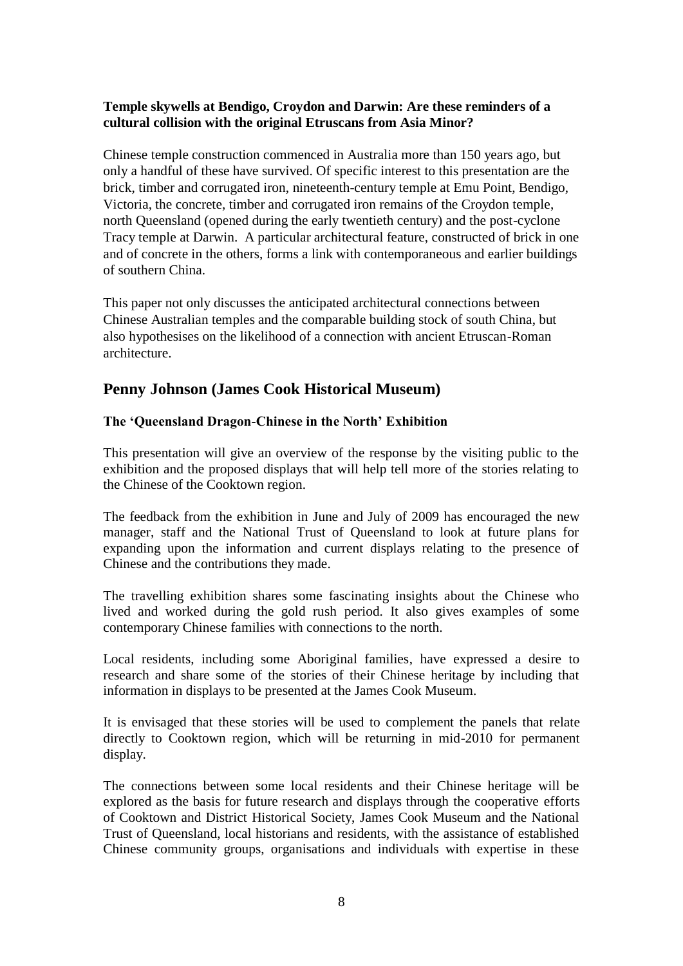#### **Temple skywells at Bendigo, Croydon and Darwin: Are these reminders of a cultural collision with the original Etruscans from Asia Minor?**

Chinese temple construction commenced in Australia more than 150 years ago, but only a handful of these have survived. Of specific interest to this presentation are the brick, timber and corrugated iron, nineteenth-century temple at Emu Point, Bendigo, Victoria, the concrete, timber and corrugated iron remains of the Croydon temple, north Queensland (opened during the early twentieth century) and the post-cyclone Tracy temple at Darwin. A particular architectural feature, constructed of brick in one and of concrete in the others, forms a link with contemporaneous and earlier buildings of southern China.

This paper not only discusses the anticipated architectural connections between Chinese Australian temples and the comparable building stock of south China, but also hypothesises on the likelihood of a connection with ancient Etruscan-Roman architecture.

## **Penny Johnson (James Cook Historical Museum)**

#### **The 'Queensland Dragon-Chinese in the North' Exhibition**

This presentation will give an overview of the response by the visiting public to the exhibition and the proposed displays that will help tell more of the stories relating to the Chinese of the Cooktown region.

The feedback from the exhibition in June and July of 2009 has encouraged the new manager, staff and the National Trust of Queensland to look at future plans for expanding upon the information and current displays relating to the presence of Chinese and the contributions they made.

The travelling exhibition shares some fascinating insights about the Chinese who lived and worked during the gold rush period. It also gives examples of some contemporary Chinese families with connections to the north.

Local residents, including some Aboriginal families, have expressed a desire to research and share some of the stories of their Chinese heritage by including that information in displays to be presented at the James Cook Museum.

It is envisaged that these stories will be used to complement the panels that relate directly to Cooktown region, which will be returning in mid-2010 for permanent display.

The connections between some local residents and their Chinese heritage will be explored as the basis for future research and displays through the cooperative efforts of Cooktown and District Historical Society, James Cook Museum and the National Trust of Queensland, local historians and residents, with the assistance of established Chinese community groups, organisations and individuals with expertise in these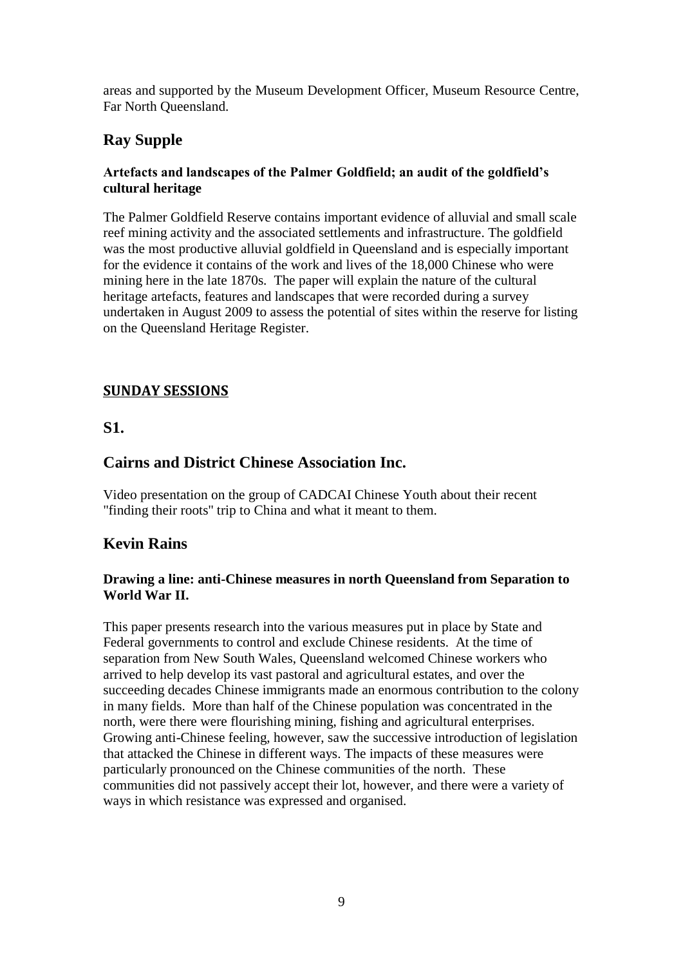areas and supported by the Museum Development Officer, Museum Resource Centre, Far North Queensland.

# **Ray Supple**

#### **Artefacts and landscapes of the Palmer Goldfield; an audit of the goldfield's cultural heritage**

The Palmer Goldfield Reserve contains important evidence of alluvial and small scale reef mining activity and the associated settlements and infrastructure. The goldfield was the most productive alluvial goldfield in Queensland and is especially important for the evidence it contains of the work and lives of the 18,000 Chinese who were mining here in the late 1870s. The paper will explain the nature of the cultural heritage artefacts, features and landscapes that were recorded during a survey undertaken in August 2009 to assess the potential of sites within the reserve for listing on the Queensland Heritage Register.

## **SUNDAY SESSIONS**

## **S1.**

## **Cairns and District Chinese Association Inc.**

Video presentation on the group of CADCAI Chinese Youth about their recent "finding their roots" trip to China and what it meant to them.

## **Kevin Rains**

#### **Drawing a line: anti-Chinese measures in north Queensland from Separation to World War II.**

This paper presents research into the various measures put in place by State and Federal governments to control and exclude Chinese residents. At the time of separation from New South Wales, Queensland welcomed Chinese workers who arrived to help develop its vast pastoral and agricultural estates, and over the succeeding decades Chinese immigrants made an enormous contribution to the colony in many fields. More than half of the Chinese population was concentrated in the north, were there were flourishing mining, fishing and agricultural enterprises. Growing anti-Chinese feeling, however, saw the successive introduction of legislation that attacked the Chinese in different ways. The impacts of these measures were particularly pronounced on the Chinese communities of the north. These communities did not passively accept their lot, however, and there were a variety of ways in which resistance was expressed and organised.